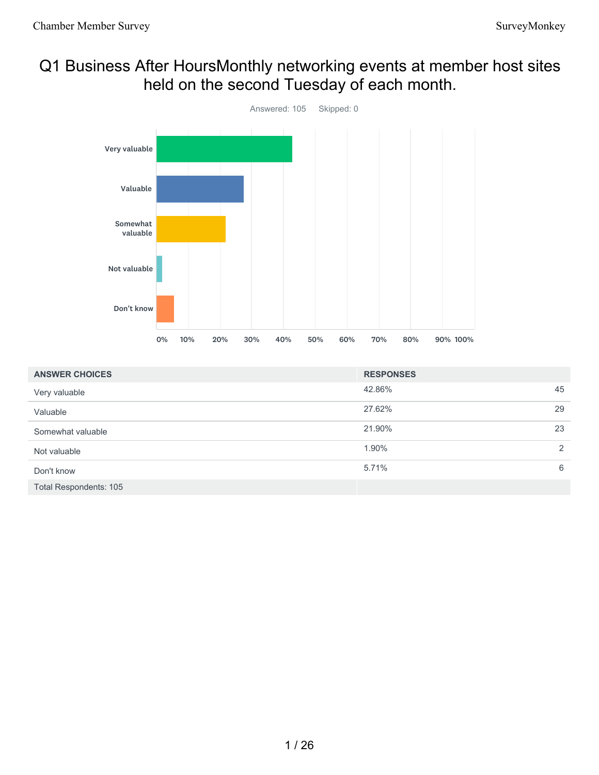# Q1 Business After HoursMonthly networking events at member host sites held on the second Tuesday of each month.



| <b>ANSWER CHOICES</b>         | <b>RESPONSES</b> |    |
|-------------------------------|------------------|----|
| Very valuable                 | 42.86%           | 45 |
| Valuable                      | 27.62%           | 29 |
| Somewhat valuable             | 21.90%           | 23 |
| Not valuable                  | 1.90%            | 2  |
| Don't know                    | 5.71%            | 6  |
| <b>Total Respondents: 105</b> |                  |    |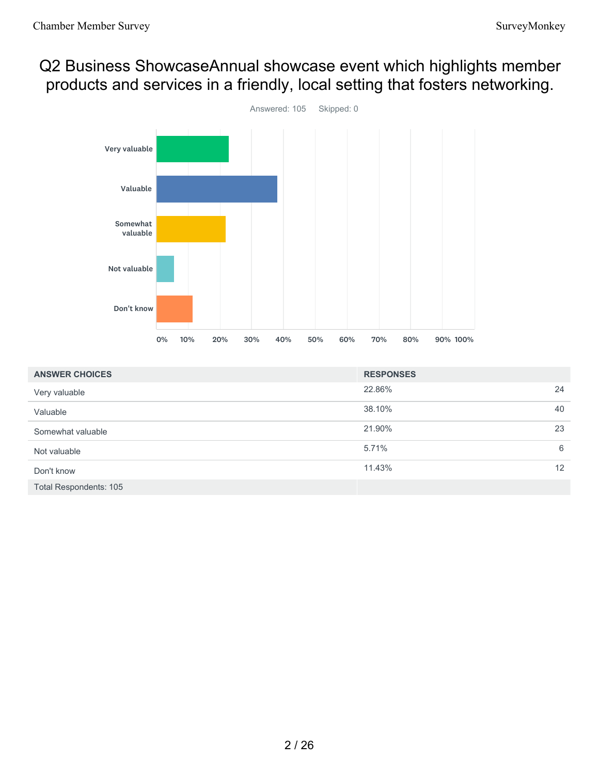# Q2 Business ShowcaseAnnual showcase event which highlights member products and services in a friendly, local setting that fosters networking.



| <b>ANSWER CHOICES</b>         | <b>RESPONSES</b> |                 |
|-------------------------------|------------------|-----------------|
| Very valuable                 | 22.86%           | 24              |
| Valuable                      | 38.10%           | 40              |
| Somewhat valuable             | 21.90%           | 23              |
| Not valuable                  | 5.71%            | 6               |
| Don't know                    | 11.43%           | 12 <sup>2</sup> |
| <b>Total Respondents: 105</b> |                  |                 |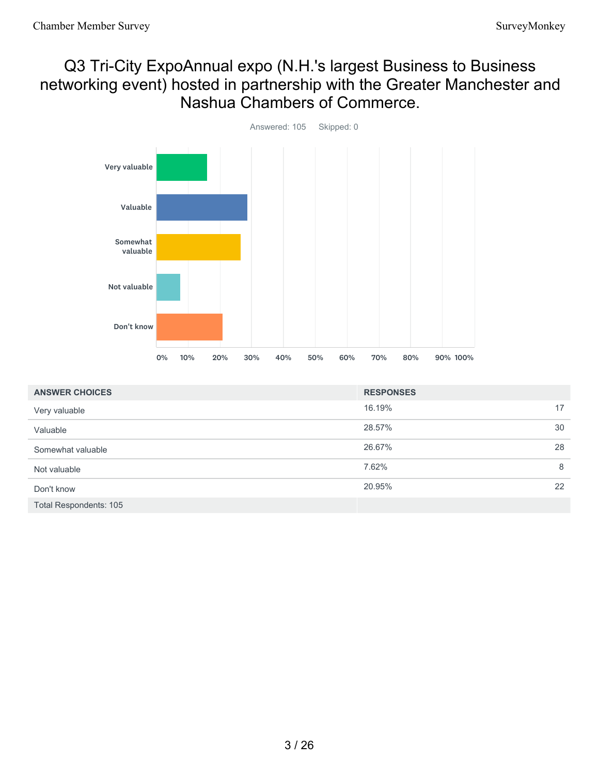# Q3 Tri-City ExpoAnnual expo (N.H.'s largest Business to Business networking event) hosted in partnership with the Greater Manchester and Nashua Chambers of Commerce.



| <b>ANSWER CHOICES</b>         | <b>RESPONSES</b> |    |
|-------------------------------|------------------|----|
| Very valuable                 | 16.19%           | 17 |
| Valuable                      | 28.57%           | 30 |
| Somewhat valuable             | 26.67%           | 28 |
| Not valuable                  | 7.62%            | 8  |
| Don't know                    | 20.95%           | 22 |
| <b>Total Respondents: 105</b> |                  |    |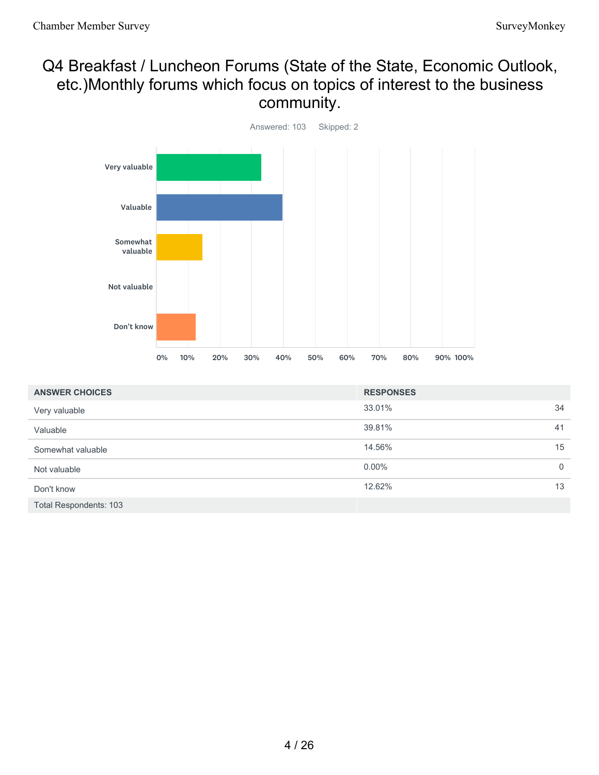## Q4 Breakfast / Luncheon Forums (State of the State, Economic Outlook, etc.)Monthly forums which focus on topics of interest to the business community.



| <b>ANSWER CHOICES</b>         | <b>RESPONSES</b> |          |
|-------------------------------|------------------|----------|
| Very valuable                 | 33.01%           | 34       |
| Valuable                      | 39.81%           | 41       |
| Somewhat valuable             | 14.56%           | 15       |
| Not valuable                  | $0.00\%$         | $\Omega$ |
| Don't know                    | 12.62%           | 13       |
| <b>Total Respondents: 103</b> |                  |          |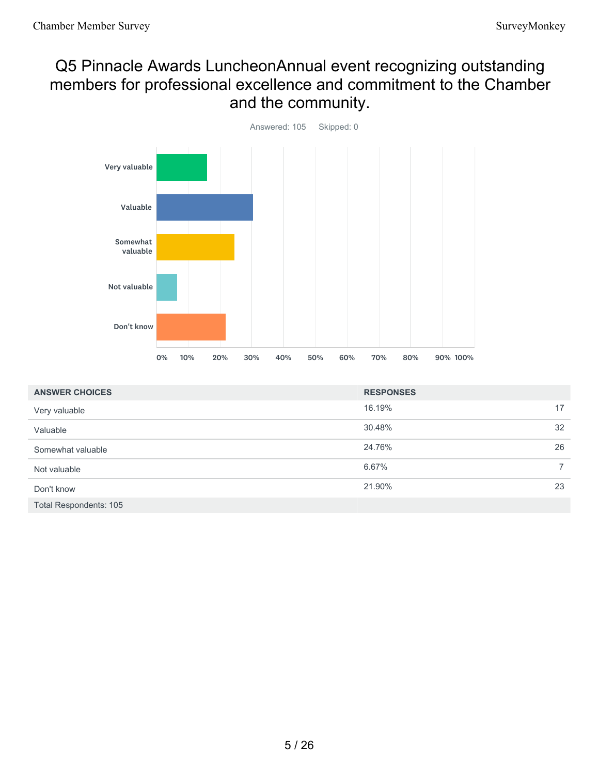# Q5 Pinnacle Awards LuncheonAnnual event recognizing outstanding members for professional excellence and commitment to the Chamber and the community.



| <b>ANSWER CHOICES</b>         | <b>RESPONSES</b> |                |
|-------------------------------|------------------|----------------|
| Very valuable                 | 16.19%           | 17             |
| Valuable                      | 30.48%           | 32             |
| Somewhat valuable             | 24.76%           | 26             |
| Not valuable                  | 6.67%            | $\overline{7}$ |
| Don't know                    | 21.90%           | 23             |
| <b>Total Respondents: 105</b> |                  |                |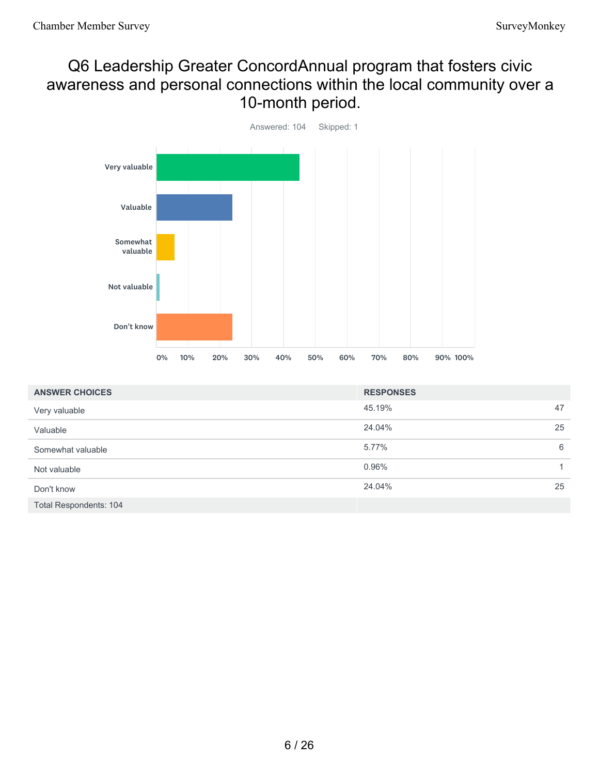## Q6 Leadership Greater ConcordAnnual program that fosters civic awareness and personal connections within the local community over a 10-month period.



| <b>ANSWER CHOICES</b>         | <b>RESPONSES</b> |    |
|-------------------------------|------------------|----|
| Very valuable                 | 45.19%           | 47 |
| Valuable                      | 24.04%           | 25 |
| Somewhat valuable             | 5.77%            | 6  |
| Not valuable                  | 0.96%            |    |
| Don't know                    | 24.04%           | 25 |
| <b>Total Respondents: 104</b> |                  |    |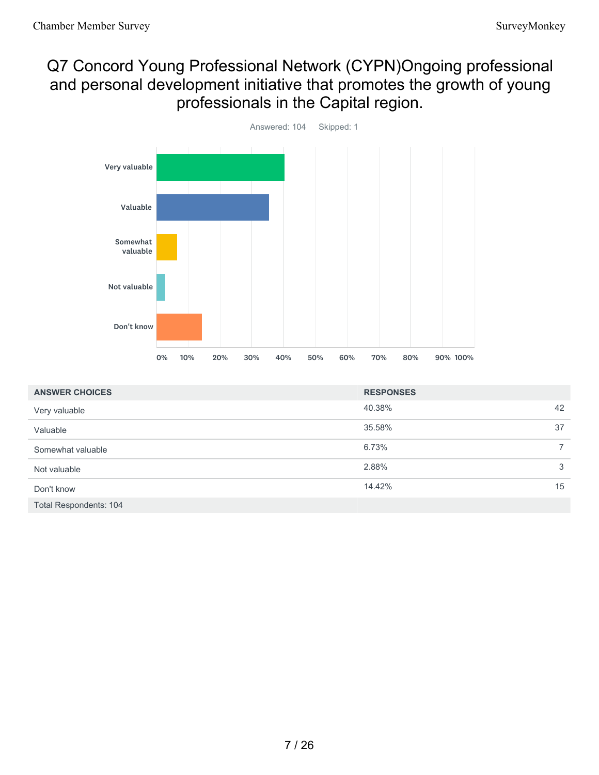# Q7 Concord Young Professional Network (CYPN)Ongoing professional and personal development initiative that promotes the growth of young professionals in the Capital region.



| <b>ANSWER CHOICES</b>         | <b>RESPONSES</b> |                |
|-------------------------------|------------------|----------------|
| Very valuable                 | 40.38%           | 42             |
| Valuable                      | 35.58%           | 37             |
| Somewhat valuable             | 6.73%            | $\overline{7}$ |
| Not valuable                  | 2.88%            | 3              |
| Don't know                    | 14.42%           | 15             |
| <b>Total Respondents: 104</b> |                  |                |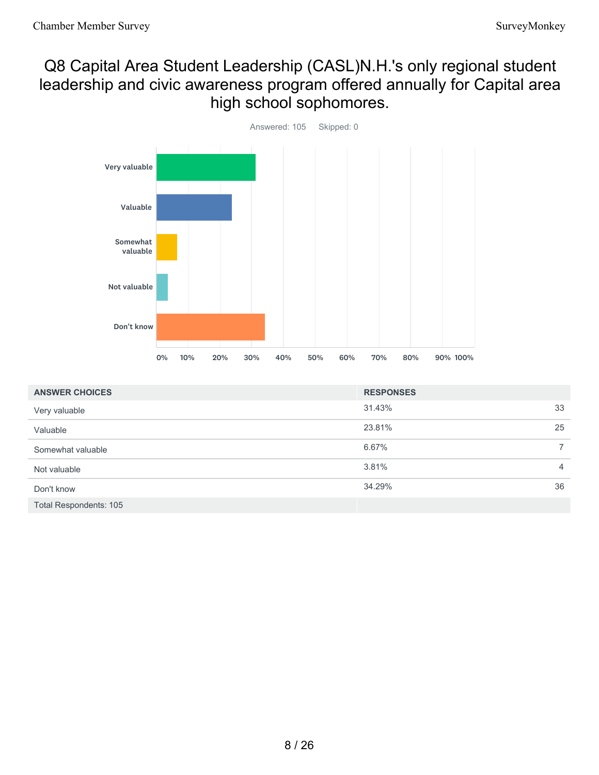## Q8 Capital Area Student Leadership (CASL)N.H.'s only regional student leadership and civic awareness program offered annually for Capital area high school sophomores.



| <b>ANSWER CHOICES</b>         | <b>RESPONSES</b> |                |
|-------------------------------|------------------|----------------|
| Very valuable                 | 31.43%           | 33             |
| Valuable                      | 23.81%           | 25             |
| Somewhat valuable             | 6.67%            | $\overline{7}$ |
| Not valuable                  | 3.81%            | $\overline{4}$ |
| Don't know                    | 34.29%           | 36             |
| <b>Total Respondents: 105</b> |                  |                |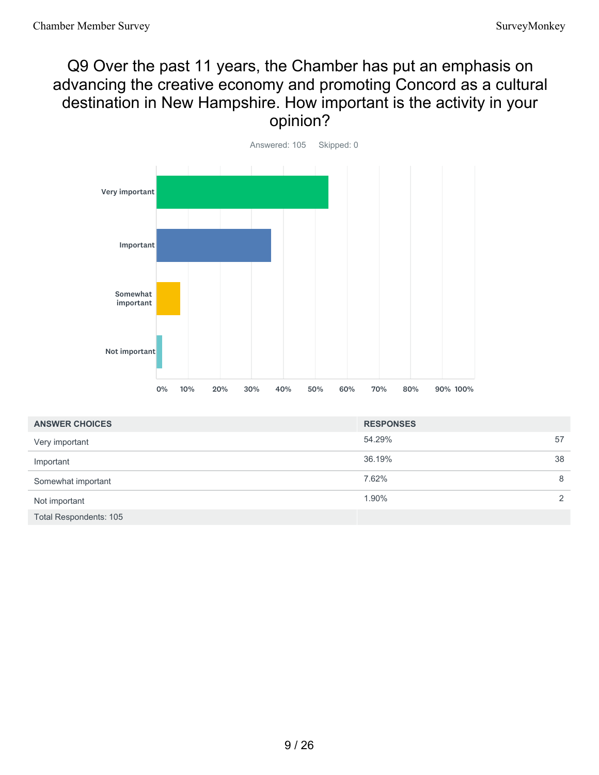## Q9 Over the past 11 years, the Chamber has put an emphasis on advancing the creative economy and promoting Concord as a cultural destination in New Hampshire. How important is the activity in your opinion?



| <b>ANSWER CHOICES</b>         | <b>RESPONSES</b> |               |
|-------------------------------|------------------|---------------|
| Very important                | 54.29%           | 57            |
| Important                     | 36.19%           | 38            |
| Somewhat important            | 7.62%            | 8             |
| Not important                 | 1.90%            | $\mathcal{P}$ |
| <b>Total Respondents: 105</b> |                  |               |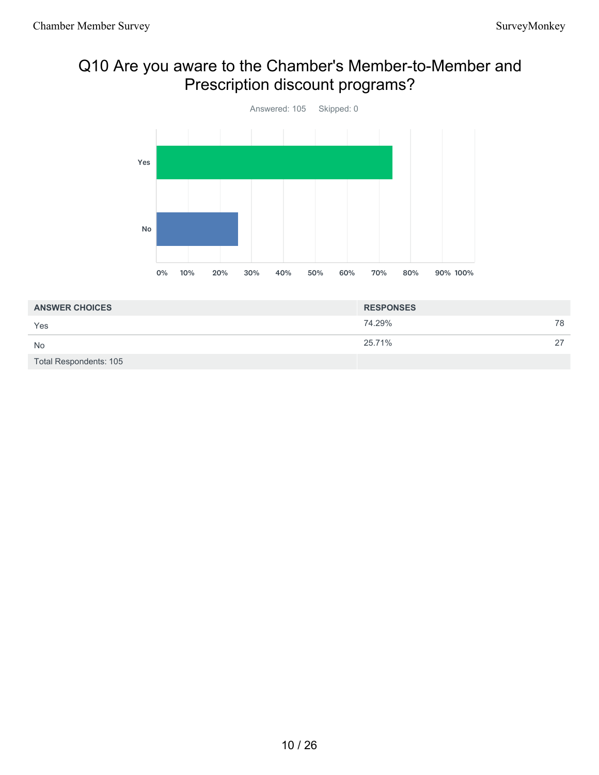# Q10 Are you aware to the Chamber's Member-to-Member and Prescription discount programs?



| <b>ANSWER CHOICES</b>  | <b>RESPONSES</b> |    |
|------------------------|------------------|----|
| Yes                    | 74.29%           | 78 |
| <b>No</b>              | 25.71%           | 27 |
| Total Respondents: 105 |                  |    |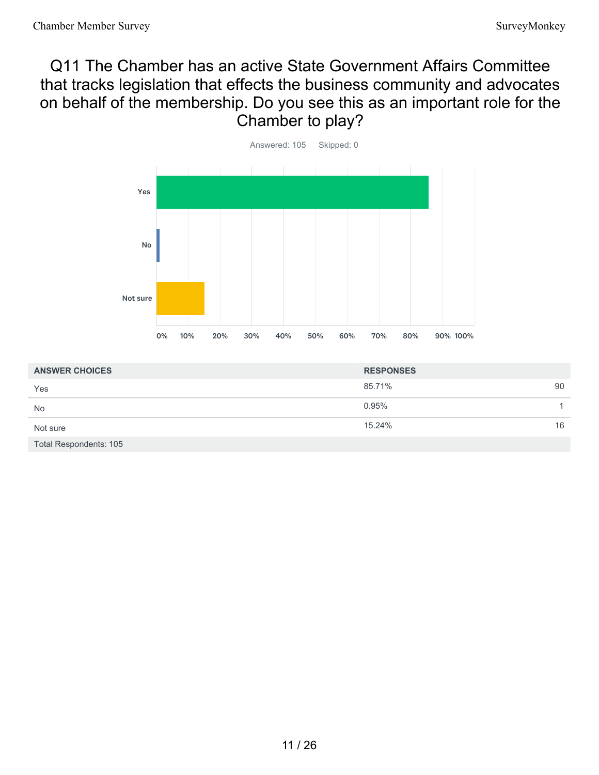# Q11 The Chamber has an active State Government Affairs Committee that tracks legislation that effects the business community and advocates on behalf of the membership. Do you see this as an important role for the Chamber to play?



| <b>ANSWER CHOICES</b>         | <b>RESPONSES</b> |    |
|-------------------------------|------------------|----|
| Yes                           | 85.71%           | 90 |
| <b>No</b>                     | 0.95%            |    |
| Not sure                      | 15.24%           | 16 |
| <b>Total Respondents: 105</b> |                  |    |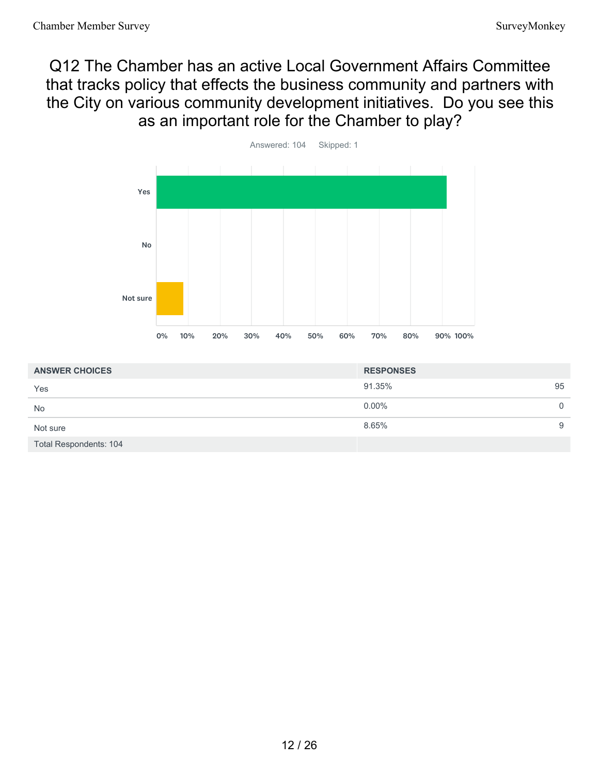# Q12 The Chamber has an active Local Government Affairs Committee that tracks policy that effects the business community and partners with the City on various community development initiatives. Do you see this as an important role for the Chamber to play?



| <b>ANSWER CHOICES</b>         | <b>RESPONSES</b> |    |
|-------------------------------|------------------|----|
| Yes                           | 91.35%           | 95 |
| <b>No</b>                     | $0.00\%$         | 0  |
| Not sure                      | 8.65%            | 9  |
| <b>Total Respondents: 104</b> |                  |    |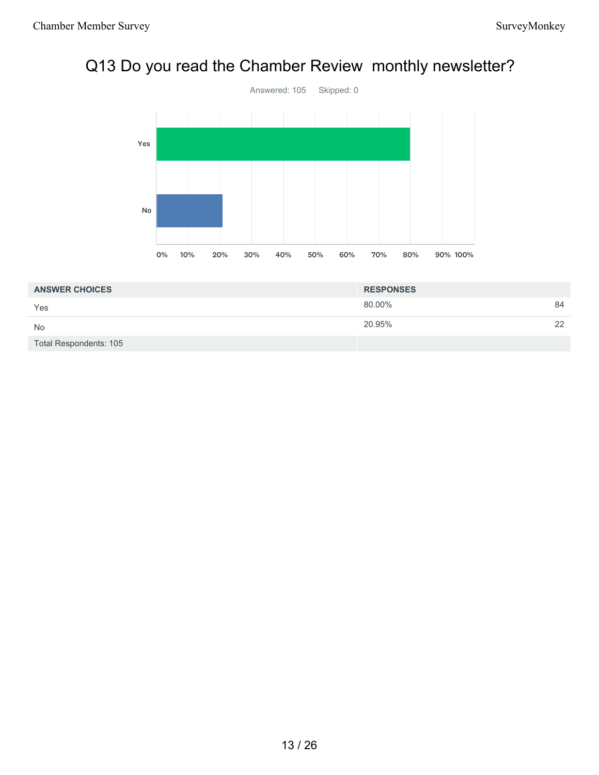# Q13 Do you read the Chamber Review monthly newsletter?



| <b>ANSWER CHOICES</b>  | <b>RESPONSES</b> |    |
|------------------------|------------------|----|
| Yes                    | 80.00%           | 84 |
| <b>No</b>              | 20.95%           | 22 |
| Total Respondents: 105 |                  |    |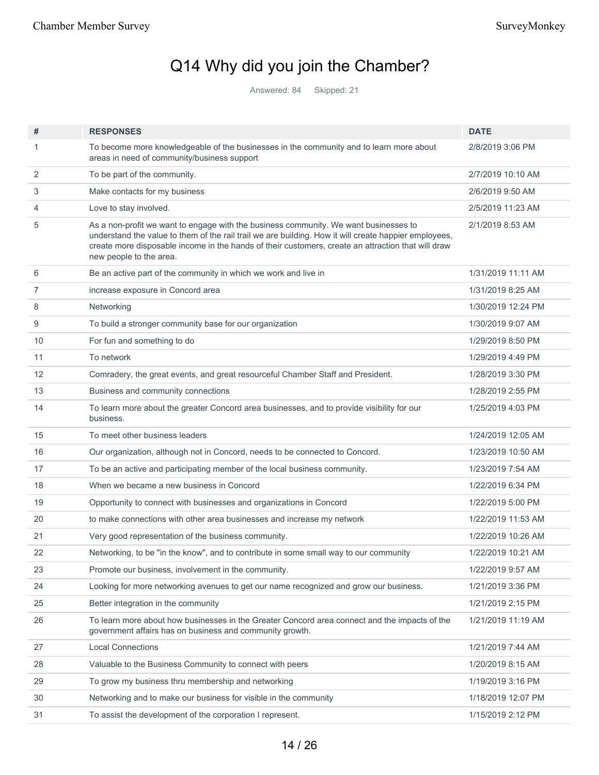# Q14 Why did you join the Chamber?

Answered: 84 Skipped: 21

| #  | <b>RESPONSES</b>                                                                                                                                                                                                                                                                                                               | <b>DATE</b>        |
|----|--------------------------------------------------------------------------------------------------------------------------------------------------------------------------------------------------------------------------------------------------------------------------------------------------------------------------------|--------------------|
| 1  | To become more knowledgeable of the businesses in the community and to learn more about<br>areas in need of community/business support                                                                                                                                                                                         | 2/8/2019 3:06 PM   |
| 2  | To be part of the community.                                                                                                                                                                                                                                                                                                   | 2/7/2019 10:10 AM  |
| 3  | Make contacts for my business                                                                                                                                                                                                                                                                                                  | 2/6/2019 9:50 AM   |
| 4  | Love to stay involved.                                                                                                                                                                                                                                                                                                         | 2/5/2019 11:23 AM  |
| 5  | As a non-profit we want to engage with the business community. We want businesses to<br>understand the value to them of the rail trail we are building. How it will create happier employees,<br>create more disposable income in the hands of their customers, create an attraction that will draw<br>new people to the area. | 2/1/2019 8:53 AM   |
| 6  | Be an active part of the community in which we work and live in                                                                                                                                                                                                                                                                | 1/31/2019 11:11 AM |
| 7  | increase exposure in Concord area                                                                                                                                                                                                                                                                                              | 1/31/2019 8:25 AM  |
| 8  | Networking                                                                                                                                                                                                                                                                                                                     | 1/30/2019 12:24 PM |
| 9  | To build a stronger community base for our organization                                                                                                                                                                                                                                                                        | 1/30/2019 9:07 AM  |
| 10 | For fun and something to do                                                                                                                                                                                                                                                                                                    | 1/29/2019 8:50 PM  |
| 11 | To network                                                                                                                                                                                                                                                                                                                     | 1/29/2019 4:49 PM  |
| 12 | Comradery, the great events, and great resourceful Chamber Staff and President.                                                                                                                                                                                                                                                | 1/28/2019 3:30 PM  |
| 13 | Business and community connections                                                                                                                                                                                                                                                                                             | 1/28/2019 2:55 PM  |
| 14 | To learn more about the greater Concord area businesses, and to provide visibility for our<br>business.                                                                                                                                                                                                                        | 1/25/2019 4:03 PM  |
| 15 | To meet other business leaders                                                                                                                                                                                                                                                                                                 | 1/24/2019 12:05 AM |
| 16 | Our organization, although not in Concord, needs to be connected to Concord.                                                                                                                                                                                                                                                   | 1/23/2019 10:50 AM |
| 17 | To be an active and participating member of the local business community.                                                                                                                                                                                                                                                      | 1/23/2019 7:54 AM  |
| 18 | When we became a new business in Concord                                                                                                                                                                                                                                                                                       | 1/22/2019 6:34 PM  |
| 19 | Opportunity to connect with businesses and organizations in Concord                                                                                                                                                                                                                                                            | 1/22/2019 5:00 PM  |
| 20 | to make connections with other area businesses and increase my network                                                                                                                                                                                                                                                         | 1/22/2019 11:53 AM |
| 21 | Very good representation of the business community.                                                                                                                                                                                                                                                                            | 1/22/2019 10:26 AM |
| 22 | Networking, to be "in the know", and to contribute in some small way to our community                                                                                                                                                                                                                                          | 1/22/2019 10:21 AM |
| 23 | Promote our business, involvement in the community.                                                                                                                                                                                                                                                                            | 1/22/2019 9:57 AM  |
| 24 | Looking for more networking avenues to get our name recognized and grow our business.                                                                                                                                                                                                                                          | 1/21/2019 3:36 PM  |
| 25 | Better integration in the community                                                                                                                                                                                                                                                                                            | 1/21/2019 2:15 PM  |
| 26 | To learn more about how businesses in the Greater Concord area connect and the impacts of the<br>government affairs has on business and community growth.                                                                                                                                                                      | 1/21/2019 11:19 AM |
| 27 | <b>Local Connections</b>                                                                                                                                                                                                                                                                                                       | 1/21/2019 7:44 AM  |
| 28 | Valuable to the Business Community to connect with peers                                                                                                                                                                                                                                                                       | 1/20/2019 8:15 AM  |
| 29 | To grow my business thru membership and networking                                                                                                                                                                                                                                                                             | 1/19/2019 3:16 PM  |
| 30 | Networking and to make our business for visible in the community                                                                                                                                                                                                                                                               | 1/18/2019 12:07 PM |
| 31 | To assist the development of the corporation I represent.                                                                                                                                                                                                                                                                      | 1/15/2019 2:12 PM  |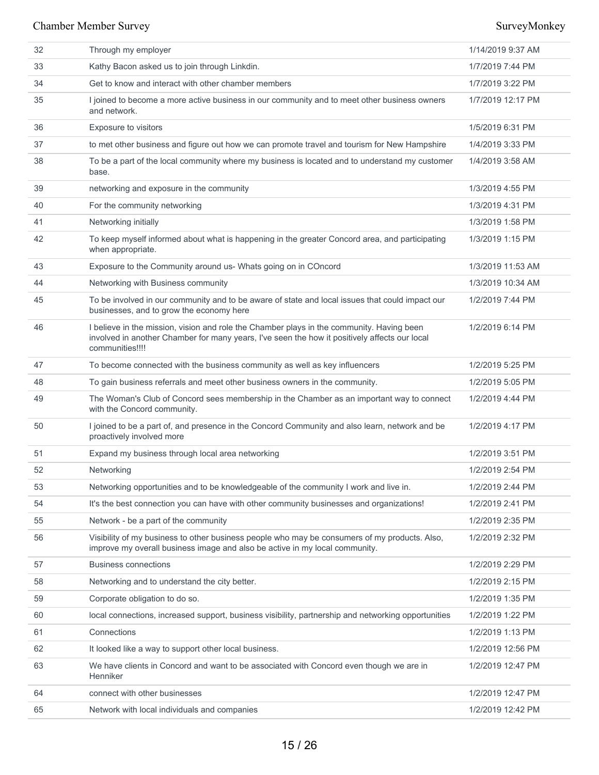| 32 | Through my employer                                                                                                                                                                                           | 1/14/2019 9:37 AM |
|----|---------------------------------------------------------------------------------------------------------------------------------------------------------------------------------------------------------------|-------------------|
| 33 | Kathy Bacon asked us to join through Linkdin.                                                                                                                                                                 | 1/7/2019 7:44 PM  |
| 34 | Get to know and interact with other chamber members                                                                                                                                                           | 1/7/2019 3:22 PM  |
| 35 | I joined to become a more active business in our community and to meet other business owners<br>and network.                                                                                                  | 1/7/2019 12:17 PM |
| 36 | Exposure to visitors                                                                                                                                                                                          | 1/5/2019 6:31 PM  |
| 37 | to met other business and figure out how we can promote travel and tourism for New Hampshire                                                                                                                  | 1/4/2019 3:33 PM  |
| 38 | To be a part of the local community where my business is located and to understand my customer<br>base.                                                                                                       | 1/4/2019 3:58 AM  |
| 39 | networking and exposure in the community                                                                                                                                                                      | 1/3/2019 4:55 PM  |
| 40 | For the community networking                                                                                                                                                                                  | 1/3/2019 4:31 PM  |
| 41 | Networking initially                                                                                                                                                                                          | 1/3/2019 1:58 PM  |
| 42 | To keep myself informed about what is happening in the greater Concord area, and participating<br>when appropriate.                                                                                           | 1/3/2019 1:15 PM  |
| 43 | Exposure to the Community around us- Whats going on in COncord                                                                                                                                                | 1/3/2019 11:53 AM |
| 44 | Networking with Business community                                                                                                                                                                            | 1/3/2019 10:34 AM |
| 45 | To be involved in our community and to be aware of state and local issues that could impact our<br>businesses, and to grow the economy here                                                                   | 1/2/2019 7:44 PM  |
| 46 | I believe in the mission, vision and role the Chamber plays in the community. Having been<br>involved in another Chamber for many years, I've seen the how it positively affects our local<br>communities!!!! | 1/2/2019 6:14 PM  |
| 47 | To become connected with the business community as well as key influencers                                                                                                                                    | 1/2/2019 5:25 PM  |
| 48 | To gain business referrals and meet other business owners in the community.                                                                                                                                   | 1/2/2019 5:05 PM  |
| 49 | The Woman's Club of Concord sees membership in the Chamber as an important way to connect<br>with the Concord community.                                                                                      | 1/2/2019 4:44 PM  |
| 50 | I joined to be a part of, and presence in the Concord Community and also learn, network and be<br>proactively involved more                                                                                   | 1/2/2019 4:17 PM  |
| 51 | Expand my business through local area networking                                                                                                                                                              | 1/2/2019 3:51 PM  |
| 52 | Networking                                                                                                                                                                                                    | 1/2/2019 2:54 PM  |
| 53 | Networking opportunities and to be knowledgeable of the community I work and live in.                                                                                                                         | 1/2/2019 2:44 PM  |
| 54 | It's the best connection you can have with other community businesses and organizations!                                                                                                                      | 1/2/2019 2:41 PM  |
| 55 | Network - be a part of the community                                                                                                                                                                          | 1/2/2019 2:35 PM  |
| 56 | Visibility of my business to other business people who may be consumers of my products. Also,<br>improve my overall business image and also be active in my local community.                                  | 1/2/2019 2:32 PM  |
| 57 | <b>Business connections</b>                                                                                                                                                                                   | 1/2/2019 2:29 PM  |
| 58 | Networking and to understand the city better.                                                                                                                                                                 | 1/2/2019 2:15 PM  |
| 59 | Corporate obligation to do so.                                                                                                                                                                                | 1/2/2019 1:35 PM  |
| 60 | local connections, increased support, business visibility, partnership and networking opportunities                                                                                                           | 1/2/2019 1:22 PM  |
| 61 | Connections                                                                                                                                                                                                   | 1/2/2019 1:13 PM  |
| 62 | It looked like a way to support other local business.                                                                                                                                                         | 1/2/2019 12:56 PM |
| 63 | We have clients in Concord and want to be associated with Concord even though we are in<br>Henniker                                                                                                           | 1/2/2019 12:47 PM |
| 64 | connect with other businesses                                                                                                                                                                                 | 1/2/2019 12:47 PM |
| 65 | Network with local individuals and companies                                                                                                                                                                  | 1/2/2019 12:42 PM |
|    |                                                                                                                                                                                                               |                   |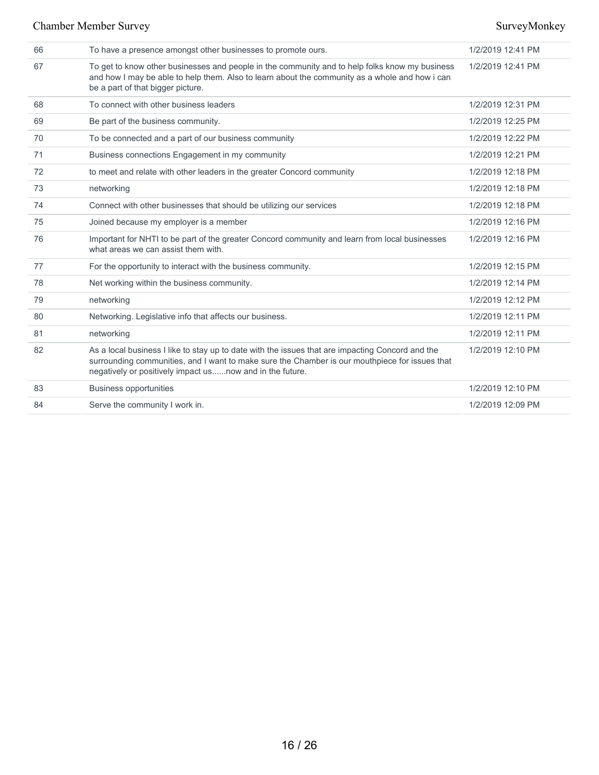| 66 | To have a presence amongst other businesses to promote ours.                                                                                                                                                                                                   | 1/2/2019 12:41 PM |
|----|----------------------------------------------------------------------------------------------------------------------------------------------------------------------------------------------------------------------------------------------------------------|-------------------|
| 67 | To get to know other businesses and people in the community and to help folks know my business<br>and how I may be able to help them. Also to learn about the community as a whole and how i can<br>be a part of that bigger picture.                          | 1/2/2019 12:41 PM |
| 68 | To connect with other business leaders                                                                                                                                                                                                                         | 1/2/2019 12:31 PM |
| 69 | Be part of the business community.                                                                                                                                                                                                                             | 1/2/2019 12:25 PM |
| 70 | To be connected and a part of our business community                                                                                                                                                                                                           | 1/2/2019 12:22 PM |
| 71 | Business connections Engagement in my community                                                                                                                                                                                                                | 1/2/2019 12:21 PM |
| 72 | to meet and relate with other leaders in the greater Concord community                                                                                                                                                                                         | 1/2/2019 12:18 PM |
| 73 | networking                                                                                                                                                                                                                                                     | 1/2/2019 12:18 PM |
| 74 | Connect with other businesses that should be utilizing our services                                                                                                                                                                                            | 1/2/2019 12:18 PM |
| 75 | Joined because my employer is a member                                                                                                                                                                                                                         | 1/2/2019 12:16 PM |
| 76 | Important for NHTI to be part of the greater Concord community and learn from local businesses<br>what areas we can assist them with.                                                                                                                          | 1/2/2019 12:16 PM |
| 77 | For the opportunity to interact with the business community.                                                                                                                                                                                                   | 1/2/2019 12:15 PM |
| 78 | Net working within the business community.                                                                                                                                                                                                                     | 1/2/2019 12:14 PM |
| 79 | networking                                                                                                                                                                                                                                                     | 1/2/2019 12:12 PM |
| 80 | Networking. Legislative info that affects our business.                                                                                                                                                                                                        | 1/2/2019 12:11 PM |
| 81 | networking                                                                                                                                                                                                                                                     | 1/2/2019 12:11 PM |
| 82 | As a local business I like to stay up to date with the issues that are impacting Concord and the<br>surrounding communities, and I want to make sure the Chamber is our mouthpiece for issues that<br>negatively or positively impact usnow and in the future. | 1/2/2019 12:10 PM |
| 83 | <b>Business opportunities</b>                                                                                                                                                                                                                                  | 1/2/2019 12:10 PM |
| 84 | Serve the community I work in.                                                                                                                                                                                                                                 | 1/2/2019 12:09 PM |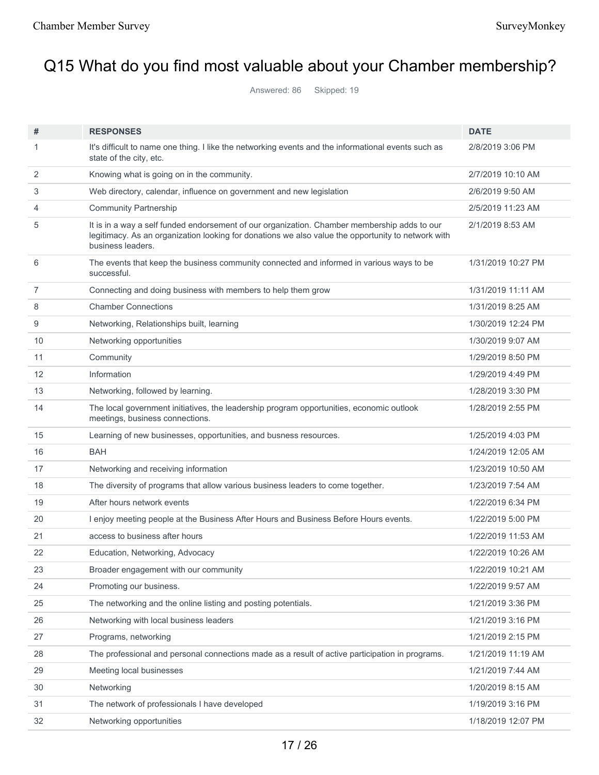# Q15 What do you find most valuable about your Chamber membership?

Answered: 86 Skipped: 19

| #              | <b>RESPONSES</b>                                                                                                                                                                                                        | <b>DATE</b>        |
|----------------|-------------------------------------------------------------------------------------------------------------------------------------------------------------------------------------------------------------------------|--------------------|
| 1              | It's difficult to name one thing. I like the networking events and the informational events such as<br>state of the city, etc.                                                                                          | 2/8/2019 3:06 PM   |
| 2              | Knowing what is going on in the community.                                                                                                                                                                              | 2/7/2019 10:10 AM  |
| 3              | Web directory, calendar, influence on government and new legislation                                                                                                                                                    | 2/6/2019 9:50 AM   |
| 4              | <b>Community Partnership</b>                                                                                                                                                                                            | 2/5/2019 11:23 AM  |
| 5              | It is in a way a self funded endorsement of our organization. Chamber membership adds to our<br>legitimacy. As an organization looking for donations we also value the opportunity to network with<br>business leaders. | 2/1/2019 8:53 AM   |
| 6              | The events that keep the business community connected and informed in various ways to be<br>successful.                                                                                                                 | 1/31/2019 10:27 PM |
| $\overline{7}$ | Connecting and doing business with members to help them grow                                                                                                                                                            | 1/31/2019 11:11 AM |
| 8              | <b>Chamber Connections</b>                                                                                                                                                                                              | 1/31/2019 8:25 AM  |
| 9              | Networking, Relationships built, learning                                                                                                                                                                               | 1/30/2019 12:24 PM |
| 10             | Networking opportunities                                                                                                                                                                                                | 1/30/2019 9:07 AM  |
| 11             | Community                                                                                                                                                                                                               | 1/29/2019 8:50 PM  |
| 12             | Information                                                                                                                                                                                                             | 1/29/2019 4:49 PM  |
| 13             | Networking, followed by learning.                                                                                                                                                                                       | 1/28/2019 3:30 PM  |
| 14             | The local government initiatives, the leadership program opportunities, economic outlook<br>meetings, business connections.                                                                                             | 1/28/2019 2:55 PM  |
| 15             | Learning of new businesses, opportunities, and busness resources.                                                                                                                                                       | 1/25/2019 4:03 PM  |
| 16             | <b>BAH</b>                                                                                                                                                                                                              | 1/24/2019 12:05 AM |
| 17             | Networking and receiving information                                                                                                                                                                                    | 1/23/2019 10:50 AM |
| 18             | The diversity of programs that allow various business leaders to come together.                                                                                                                                         | 1/23/2019 7:54 AM  |
| 19             | After hours network events                                                                                                                                                                                              | 1/22/2019 6:34 PM  |
| 20             | I enjoy meeting people at the Business After Hours and Business Before Hours events.                                                                                                                                    | 1/22/2019 5:00 PM  |
| 21             | access to business after hours                                                                                                                                                                                          | 1/22/2019 11:53 AM |
| 22             | Education, Networking, Advocacy                                                                                                                                                                                         | 1/22/2019 10:26 AM |
| 23             | Broader engagement with our community                                                                                                                                                                                   | 1/22/2019 10:21 AM |
| 24             | Promoting our business.                                                                                                                                                                                                 | 1/22/2019 9:57 AM  |
| 25             | The networking and the online listing and posting potentials.                                                                                                                                                           | 1/21/2019 3:36 PM  |
| 26             | Networking with local business leaders                                                                                                                                                                                  | 1/21/2019 3:16 PM  |
| 27             | Programs, networking                                                                                                                                                                                                    | 1/21/2019 2:15 PM  |
| 28             | The professional and personal connections made as a result of active participation in programs.                                                                                                                         | 1/21/2019 11:19 AM |
| 29             | Meeting local businesses                                                                                                                                                                                                | 1/21/2019 7:44 AM  |
| 30             | Networking                                                                                                                                                                                                              | 1/20/2019 8:15 AM  |
| 31             | The network of professionals I have developed                                                                                                                                                                           | 1/19/2019 3:16 PM  |
| 32             | Networking opportunities                                                                                                                                                                                                | 1/18/2019 12:07 PM |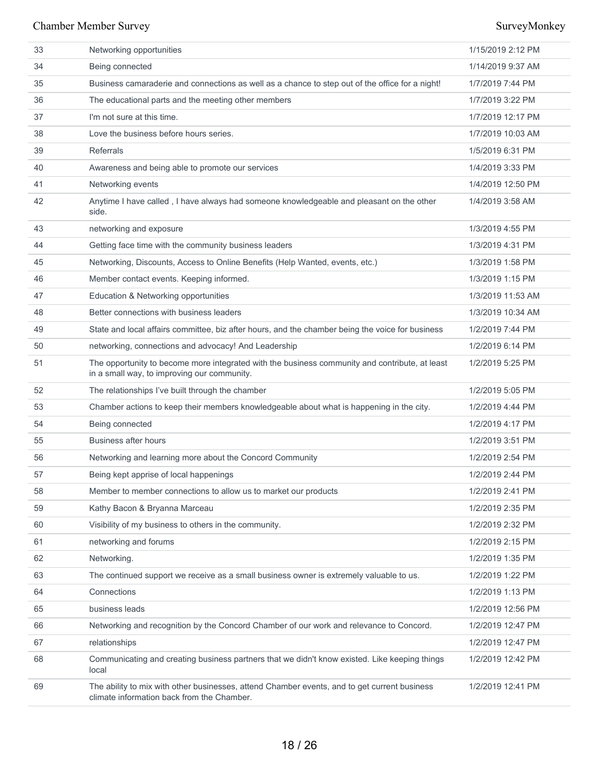| 33 | Networking opportunities                                                                                                                      | 1/15/2019 2:12 PM |
|----|-----------------------------------------------------------------------------------------------------------------------------------------------|-------------------|
| 34 | Being connected                                                                                                                               | 1/14/2019 9:37 AM |
| 35 | Business camaraderie and connections as well as a chance to step out of the office for a night!                                               | 1/7/2019 7:44 PM  |
| 36 | The educational parts and the meeting other members                                                                                           | 1/7/2019 3:22 PM  |
| 37 | I'm not sure at this time.                                                                                                                    | 1/7/2019 12:17 PM |
| 38 | Love the business before hours series.                                                                                                        | 1/7/2019 10:03 AM |
| 39 | <b>Referrals</b>                                                                                                                              | 1/5/2019 6:31 PM  |
| 40 | Awareness and being able to promote our services                                                                                              | 1/4/2019 3:33 PM  |
| 41 | Networking events                                                                                                                             | 1/4/2019 12:50 PM |
| 42 | Anytime I have called, I have always had someone knowledgeable and pleasant on the other<br>side.                                             | 1/4/2019 3:58 AM  |
| 43 | networking and exposure                                                                                                                       | 1/3/2019 4:55 PM  |
| 44 | Getting face time with the community business leaders                                                                                         | 1/3/2019 4:31 PM  |
| 45 | Networking, Discounts, Access to Online Benefits (Help Wanted, events, etc.)                                                                  | 1/3/2019 1:58 PM  |
| 46 | Member contact events. Keeping informed.                                                                                                      | 1/3/2019 1:15 PM  |
| 47 | Education & Networking opportunities                                                                                                          | 1/3/2019 11:53 AM |
| 48 | Better connections with business leaders                                                                                                      | 1/3/2019 10:34 AM |
| 49 | State and local affairs committee, biz after hours, and the chamber being the voice for business                                              | 1/2/2019 7:44 PM  |
| 50 | networking, connections and advocacy! And Leadership                                                                                          | 1/2/2019 6:14 PM  |
| 51 | The opportunity to become more integrated with the business community and contribute, at least<br>in a small way, to improving our community. | 1/2/2019 5:25 PM  |
| 52 | The relationships I've built through the chamber                                                                                              | 1/2/2019 5:05 PM  |
| 53 | Chamber actions to keep their members knowledgeable about what is happening in the city.                                                      | 1/2/2019 4:44 PM  |
| 54 | Being connected                                                                                                                               | 1/2/2019 4:17 PM  |
| 55 | <b>Business after hours</b>                                                                                                                   | 1/2/2019 3:51 PM  |
| 56 | Networking and learning more about the Concord Community                                                                                      | 1/2/2019 2:54 PM  |
| 57 | Being kept apprise of local happenings                                                                                                        | 1/2/2019 2:44 PM  |
| 58 | Member to member connections to allow us to market our products                                                                               | 1/2/2019 2:41 PM  |
| 59 | Kathy Bacon & Bryanna Marceau                                                                                                                 | 1/2/2019 2:35 PM  |
| 60 | Visibility of my business to others in the community.                                                                                         | 1/2/2019 2:32 PM  |
| 61 | networking and forums                                                                                                                         | 1/2/2019 2:15 PM  |
| 62 | Networking.                                                                                                                                   | 1/2/2019 1:35 PM  |
| 63 | The continued support we receive as a small business owner is extremely valuable to us.                                                       | 1/2/2019 1:22 PM  |
| 64 | Connections                                                                                                                                   | 1/2/2019 1:13 PM  |
| 65 | business leads                                                                                                                                | 1/2/2019 12:56 PM |
| 66 | Networking and recognition by the Concord Chamber of our work and relevance to Concord.                                                       | 1/2/2019 12:47 PM |
| 67 | relationships                                                                                                                                 | 1/2/2019 12:47 PM |
| 68 | Communicating and creating business partners that we didn't know existed. Like keeping things<br>local                                        | 1/2/2019 12:42 PM |
| 69 | The ability to mix with other businesses, attend Chamber events, and to get current business<br>climate information back from the Chamber.    | 1/2/2019 12:41 PM |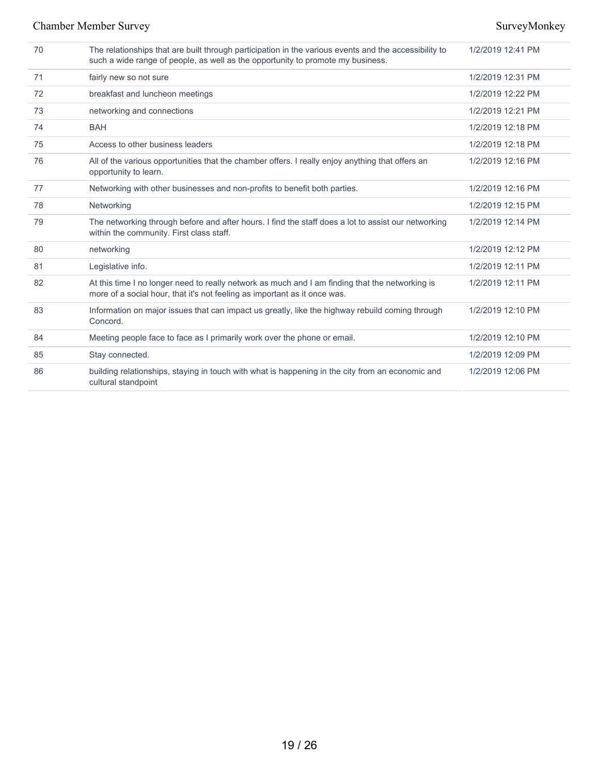| 70 | The relationships that are built through participation in the various events and the accessibility to<br>such a wide range of people, as well as the opportunity to promote my business. | 1/2/2019 12:41 PM |
|----|------------------------------------------------------------------------------------------------------------------------------------------------------------------------------------------|-------------------|
| 71 | fairly new so not sure                                                                                                                                                                   | 1/2/2019 12:31 PM |
| 72 | breakfast and luncheon meetings                                                                                                                                                          | 1/2/2019 12:22 PM |
| 73 | networking and connections                                                                                                                                                               | 1/2/2019 12:21 PM |
| 74 | <b>BAH</b>                                                                                                                                                                               | 1/2/2019 12:18 PM |
| 75 | Access to other business leaders                                                                                                                                                         | 1/2/2019 12:18 PM |
| 76 | All of the various opportunities that the chamber offers. I really enjoy anything that offers an<br>opportunity to learn.                                                                | 1/2/2019 12:16 PM |
| 77 | Networking with other businesses and non-profits to benefit both parties.                                                                                                                | 1/2/2019 12:16 PM |
| 78 | Networking                                                                                                                                                                               | 1/2/2019 12:15 PM |
| 79 | The networking through before and after hours. I find the staff does a lot to assist our networking<br>within the community. First class staff.                                          | 1/2/2019 12:14 PM |
| 80 | networking                                                                                                                                                                               | 1/2/2019 12:12 PM |
| 81 | Legislative info.                                                                                                                                                                        | 1/2/2019 12:11 PM |
| 82 | At this time I no longer need to really network as much and I am finding that the networking is<br>more of a social hour, that it's not feeling as important as it once was.             | 1/2/2019 12:11 PM |
| 83 | Information on major issues that can impact us greatly, like the highway rebuild coming through<br>Concord.                                                                              | 1/2/2019 12:10 PM |
| 84 | Meeting people face to face as I primarily work over the phone or email.                                                                                                                 | 1/2/2019 12:10 PM |
| 85 | Stay connected.                                                                                                                                                                          | 1/2/2019 12:09 PM |
| 86 | building relationships, staying in touch with what is happening in the city from an economic and<br>cultural standpoint                                                                  | 1/2/2019 12:06 PM |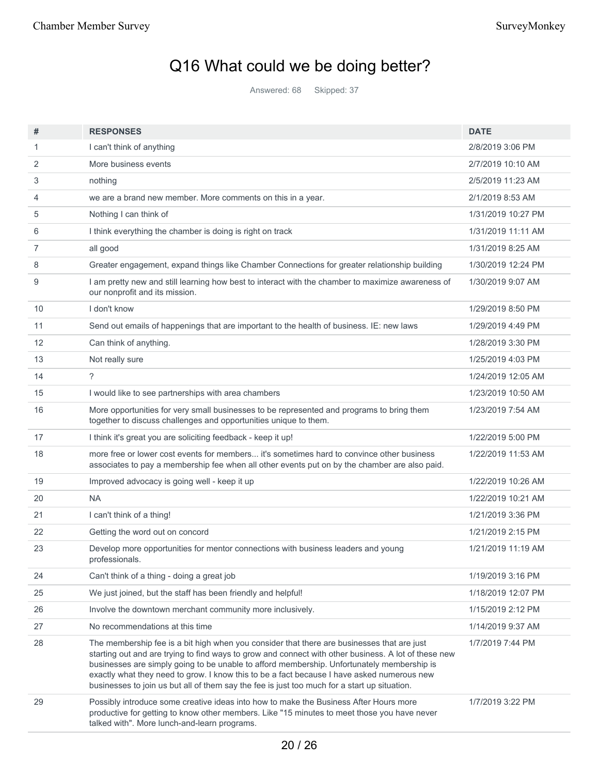# Q16 What could we be doing better?

Answered: 68 Skipped: 37

| #  | <b>RESPONSES</b>                                                                                                                                                                                                                                                                                                                                                                                                                                                                               | <b>DATE</b>        |
|----|------------------------------------------------------------------------------------------------------------------------------------------------------------------------------------------------------------------------------------------------------------------------------------------------------------------------------------------------------------------------------------------------------------------------------------------------------------------------------------------------|--------------------|
| 1  | I can't think of anything                                                                                                                                                                                                                                                                                                                                                                                                                                                                      | 2/8/2019 3:06 PM   |
| 2  | More business events                                                                                                                                                                                                                                                                                                                                                                                                                                                                           | 2/7/2019 10:10 AM  |
| 3  | nothing                                                                                                                                                                                                                                                                                                                                                                                                                                                                                        | 2/5/2019 11:23 AM  |
| 4  | we are a brand new member. More comments on this in a year.                                                                                                                                                                                                                                                                                                                                                                                                                                    | 2/1/2019 8:53 AM   |
| 5  | Nothing I can think of                                                                                                                                                                                                                                                                                                                                                                                                                                                                         | 1/31/2019 10:27 PM |
| 6  | I think everything the chamber is doing is right on track                                                                                                                                                                                                                                                                                                                                                                                                                                      | 1/31/2019 11:11 AM |
| 7  | all good                                                                                                                                                                                                                                                                                                                                                                                                                                                                                       | 1/31/2019 8:25 AM  |
| 8  | Greater engagement, expand things like Chamber Connections for greater relationship building                                                                                                                                                                                                                                                                                                                                                                                                   | 1/30/2019 12:24 PM |
| 9  | I am pretty new and still learning how best to interact with the chamber to maximize awareness of<br>our nonprofit and its mission.                                                                                                                                                                                                                                                                                                                                                            | 1/30/2019 9:07 AM  |
| 10 | I don't know                                                                                                                                                                                                                                                                                                                                                                                                                                                                                   | 1/29/2019 8:50 PM  |
| 11 | Send out emails of happenings that are important to the health of business. IE: new laws                                                                                                                                                                                                                                                                                                                                                                                                       | 1/29/2019 4:49 PM  |
| 12 | Can think of anything.                                                                                                                                                                                                                                                                                                                                                                                                                                                                         | 1/28/2019 3:30 PM  |
| 13 | Not really sure                                                                                                                                                                                                                                                                                                                                                                                                                                                                                | 1/25/2019 4:03 PM  |
| 14 | ?                                                                                                                                                                                                                                                                                                                                                                                                                                                                                              | 1/24/2019 12:05 AM |
| 15 | I would like to see partnerships with area chambers                                                                                                                                                                                                                                                                                                                                                                                                                                            | 1/23/2019 10:50 AM |
| 16 | More opportunities for very small businesses to be represented and programs to bring them<br>together to discuss challenges and opportunities unique to them.                                                                                                                                                                                                                                                                                                                                  | 1/23/2019 7:54 AM  |
| 17 | I think it's great you are soliciting feedback - keep it up!                                                                                                                                                                                                                                                                                                                                                                                                                                   | 1/22/2019 5:00 PM  |
| 18 | more free or lower cost events for members it's sometimes hard to convince other business<br>associates to pay a membership fee when all other events put on by the chamber are also paid.                                                                                                                                                                                                                                                                                                     | 1/22/2019 11:53 AM |
| 19 | Improved advocacy is going well - keep it up                                                                                                                                                                                                                                                                                                                                                                                                                                                   | 1/22/2019 10:26 AM |
| 20 | <b>NA</b>                                                                                                                                                                                                                                                                                                                                                                                                                                                                                      | 1/22/2019 10:21 AM |
| 21 | I can't think of a thing!                                                                                                                                                                                                                                                                                                                                                                                                                                                                      | 1/21/2019 3:36 PM  |
| 22 | Getting the word out on concord                                                                                                                                                                                                                                                                                                                                                                                                                                                                | 1/21/2019 2:15 PM  |
| 23 | Develop more opportunities for mentor connections with business leaders and young<br>professionals.                                                                                                                                                                                                                                                                                                                                                                                            | 1/21/2019 11:19 AM |
| 24 | Can't think of a thing - doing a great job                                                                                                                                                                                                                                                                                                                                                                                                                                                     | 1/19/2019 3:16 PM  |
| 25 | We just joined, but the staff has been friendly and helpful!                                                                                                                                                                                                                                                                                                                                                                                                                                   | 1/18/2019 12:07 PM |
| 26 | Involve the downtown merchant community more inclusively.                                                                                                                                                                                                                                                                                                                                                                                                                                      | 1/15/2019 2:12 PM  |
| 27 | No recommendations at this time                                                                                                                                                                                                                                                                                                                                                                                                                                                                | 1/14/2019 9:37 AM  |
| 28 | The membership fee is a bit high when you consider that there are businesses that are just<br>starting out and are trying to find ways to grow and connect with other business. A lot of these new<br>businesses are simply going to be unable to afford membership. Unfortunately membership is<br>exactly what they need to grow. I know this to be a fact because I have asked numerous new<br>businesses to join us but all of them say the fee is just too much for a start up situation. | 1/7/2019 7:44 PM   |
| 29 | Possibly introduce some creative ideas into how to make the Business After Hours more<br>productive for getting to know other members. Like "15 minutes to meet those you have never<br>talked with". More lunch-and-learn programs.                                                                                                                                                                                                                                                           | 1/7/2019 3:22 PM   |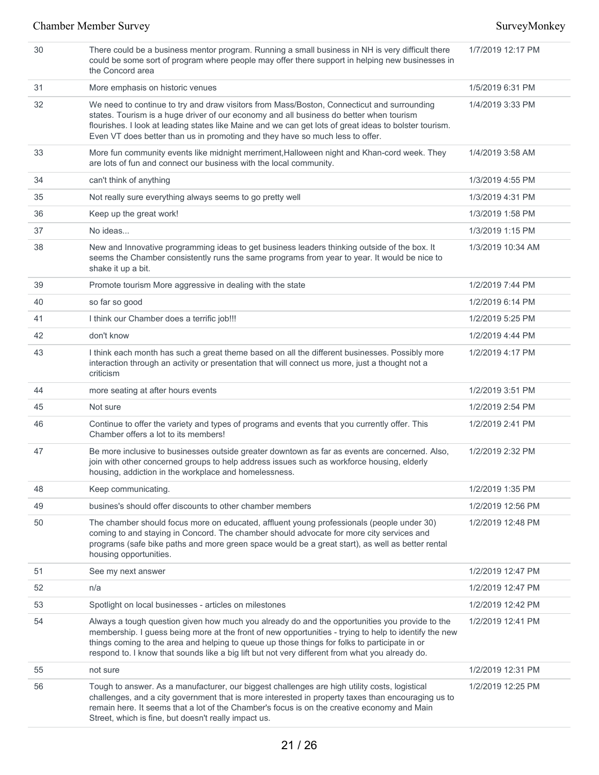| 30 | There could be a business mentor program. Running a small business in NH is very difficult there<br>could be some sort of program where people may offer there support in helping new businesses in<br>the Concord area                                                                                                                                                                                     | 1/7/2019 12:17 PM |
|----|-------------------------------------------------------------------------------------------------------------------------------------------------------------------------------------------------------------------------------------------------------------------------------------------------------------------------------------------------------------------------------------------------------------|-------------------|
| 31 | More emphasis on historic venues                                                                                                                                                                                                                                                                                                                                                                            | 1/5/2019 6:31 PM  |
| 32 | We need to continue to try and draw visitors from Mass/Boston, Connecticut and surrounding<br>states. Tourism is a huge driver of our economy and all business do better when tourism<br>flourishes. I look at leading states like Maine and we can get lots of great ideas to bolster tourism.<br>Even VT does better than us in promoting and they have so much less to offer.                            | 1/4/2019 3:33 PM  |
| 33 | More fun community events like midnight merriment, Halloween night and Khan-cord week. They<br>are lots of fun and connect our business with the local community.                                                                                                                                                                                                                                           | 1/4/2019 3:58 AM  |
| 34 | can't think of anything                                                                                                                                                                                                                                                                                                                                                                                     | 1/3/2019 4:55 PM  |
| 35 | Not really sure everything always seems to go pretty well                                                                                                                                                                                                                                                                                                                                                   | 1/3/2019 4:31 PM  |
| 36 | Keep up the great work!                                                                                                                                                                                                                                                                                                                                                                                     | 1/3/2019 1:58 PM  |
| 37 | No ideas                                                                                                                                                                                                                                                                                                                                                                                                    | 1/3/2019 1:15 PM  |
| 38 | New and Innovative programming ideas to get business leaders thinking outside of the box. It<br>seems the Chamber consistently runs the same programs from year to year. It would be nice to<br>shake it up a bit.                                                                                                                                                                                          | 1/3/2019 10:34 AM |
| 39 | Promote tourism More aggressive in dealing with the state                                                                                                                                                                                                                                                                                                                                                   | 1/2/2019 7:44 PM  |
| 40 | so far so good                                                                                                                                                                                                                                                                                                                                                                                              | 1/2/2019 6:14 PM  |
| 41 | I think our Chamber does a terrific job!!!                                                                                                                                                                                                                                                                                                                                                                  | 1/2/2019 5:25 PM  |
| 42 | don't know                                                                                                                                                                                                                                                                                                                                                                                                  | 1/2/2019 4:44 PM  |
| 43 | I think each month has such a great theme based on all the different businesses. Possibly more<br>interaction through an activity or presentation that will connect us more, just a thought not a<br>criticism                                                                                                                                                                                              | 1/2/2019 4:17 PM  |
| 44 | more seating at after hours events                                                                                                                                                                                                                                                                                                                                                                          | 1/2/2019 3:51 PM  |
| 45 | Not sure                                                                                                                                                                                                                                                                                                                                                                                                    | 1/2/2019 2:54 PM  |
| 46 | Continue to offer the variety and types of programs and events that you currently offer. This<br>Chamber offers a lot to its members!                                                                                                                                                                                                                                                                       | 1/2/2019 2:41 PM  |
| 47 | Be more inclusive to businesses outside greater downtown as far as events are concerned. Also,<br>join with other concerned groups to help address issues such as workforce housing, elderly<br>housing, addiction in the workplace and homelessness.                                                                                                                                                       | 1/2/2019 2:32 PM  |
| 48 | Keep communicating.                                                                                                                                                                                                                                                                                                                                                                                         | 1/2/2019 1:35 PM  |
| 49 | busines's should offer discounts to other chamber members                                                                                                                                                                                                                                                                                                                                                   | 1/2/2019 12:56 PM |
| 50 | The chamber should focus more on educated, affluent young professionals (people under 30)<br>coming to and staying in Concord. The chamber should advocate for more city services and<br>programs (safe bike paths and more green space would be a great start), as well as better rental<br>housing opportunities.                                                                                         | 1/2/2019 12:48 PM |
| 51 | See my next answer                                                                                                                                                                                                                                                                                                                                                                                          | 1/2/2019 12:47 PM |
| 52 | n/a                                                                                                                                                                                                                                                                                                                                                                                                         | 1/2/2019 12:47 PM |
| 53 | Spotlight on local businesses - articles on milestones                                                                                                                                                                                                                                                                                                                                                      | 1/2/2019 12:42 PM |
| 54 | Always a tough question given how much you already do and the opportunities you provide to the<br>membership. I guess being more at the front of new opportunities - trying to help to identify the new<br>things coming to the area and helping to queue up those things for folks to participate in or<br>respond to. I know that sounds like a big lift but not very different from what you already do. | 1/2/2019 12:41 PM |
| 55 | not sure                                                                                                                                                                                                                                                                                                                                                                                                    | 1/2/2019 12:31 PM |
| 56 | Tough to answer. As a manufacturer, our biggest challenges are high utility costs, logistical<br>challenges, and a city government that is more interested in property taxes than encouraging us to<br>remain here. It seems that a lot of the Chamber's focus is on the creative economy and Main<br>Street, which is fine, but doesn't really impact us.                                                  | 1/2/2019 12:25 PM |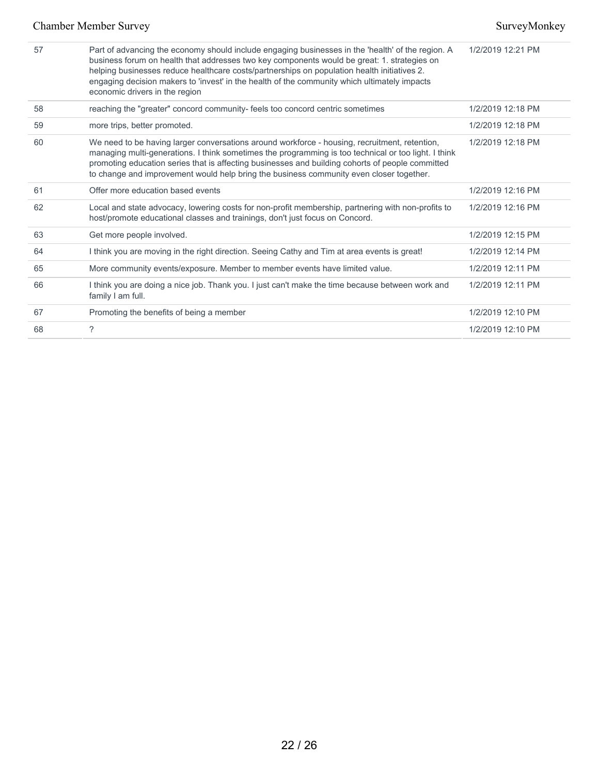| 57 | Part of advancing the economy should include engaging businesses in the 'health' of the region. A<br>business forum on health that addresses two key components would be great: 1. strategies on<br>helping businesses reduce healthcare costs/partnerships on population health initiatives 2.<br>engaging decision makers to 'invest' in the health of the community which ultimately impacts<br>economic drivers in the region | 1/2/2019 12:21 PM |
|----|-----------------------------------------------------------------------------------------------------------------------------------------------------------------------------------------------------------------------------------------------------------------------------------------------------------------------------------------------------------------------------------------------------------------------------------|-------------------|
| 58 | reaching the "greater" concord community- feels too concord centric sometimes                                                                                                                                                                                                                                                                                                                                                     | 1/2/2019 12:18 PM |
| 59 | more trips, better promoted.                                                                                                                                                                                                                                                                                                                                                                                                      | 1/2/2019 12:18 PM |
| 60 | We need to be having larger conversations around workforce - housing, recruitment, retention,<br>managing multi-generations. I think sometimes the programming is too technical or too light. I think<br>promoting education series that is affecting businesses and building cohorts of people committed<br>to change and improvement would help bring the business community even closer together.                              | 1/2/2019 12:18 PM |
| 61 | Offer more education based events                                                                                                                                                                                                                                                                                                                                                                                                 | 1/2/2019 12:16 PM |
| 62 | Local and state advocacy, lowering costs for non-profit membership, partnering with non-profits to<br>host/promote educational classes and trainings, don't just focus on Concord.                                                                                                                                                                                                                                                | 1/2/2019 12:16 PM |
| 63 | Get more people involved.                                                                                                                                                                                                                                                                                                                                                                                                         | 1/2/2019 12:15 PM |
| 64 | I think you are moving in the right direction. Seeing Cathy and Tim at area events is great!                                                                                                                                                                                                                                                                                                                                      | 1/2/2019 12:14 PM |
| 65 | More community events/exposure. Member to member events have limited value.                                                                                                                                                                                                                                                                                                                                                       | 1/2/2019 12:11 PM |
| 66 | I think you are doing a nice job. Thank you. I just can't make the time because between work and<br>family I am full.                                                                                                                                                                                                                                                                                                             | 1/2/2019 12:11 PM |
| 67 | Promoting the benefits of being a member                                                                                                                                                                                                                                                                                                                                                                                          | 1/2/2019 12:10 PM |
| 68 | ?                                                                                                                                                                                                                                                                                                                                                                                                                                 | 1/2/2019 12:10 PM |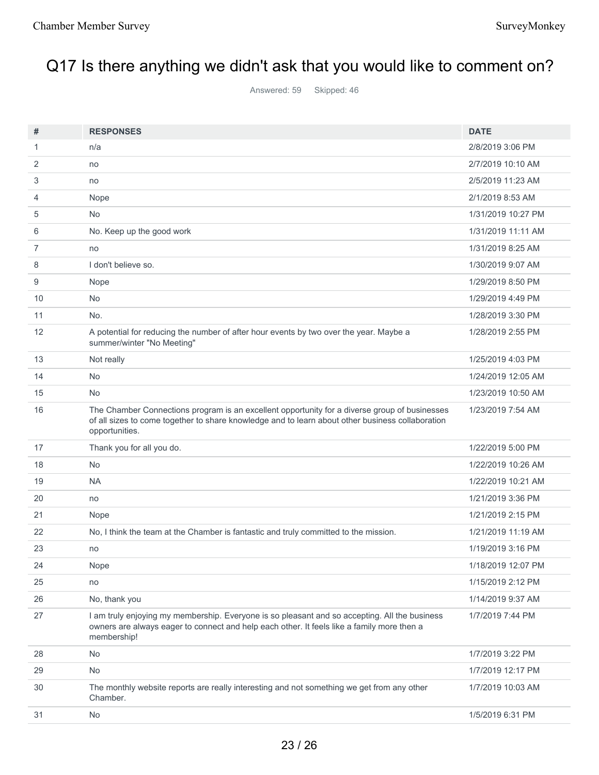# Q17 Is there anything we didn't ask that you would like to comment on?

Answered: 59 Skipped: 46

| #              | <b>RESPONSES</b>                                                                                                                                                                                                    | <b>DATE</b>        |
|----------------|---------------------------------------------------------------------------------------------------------------------------------------------------------------------------------------------------------------------|--------------------|
| $\mathbf{1}$   | n/a                                                                                                                                                                                                                 | 2/8/2019 3:06 PM   |
| 2              | no                                                                                                                                                                                                                  | 2/7/2019 10:10 AM  |
| 3              | no                                                                                                                                                                                                                  | 2/5/2019 11:23 AM  |
| 4              | Nope                                                                                                                                                                                                                | 2/1/2019 8:53 AM   |
| 5              | <b>No</b>                                                                                                                                                                                                           | 1/31/2019 10:27 PM |
| 6              | No. Keep up the good work                                                                                                                                                                                           | 1/31/2019 11:11 AM |
| $\overline{7}$ | no                                                                                                                                                                                                                  | 1/31/2019 8:25 AM  |
| 8              | I don't believe so.                                                                                                                                                                                                 | 1/30/2019 9:07 AM  |
| 9              | Nope                                                                                                                                                                                                                | 1/29/2019 8:50 PM  |
| 10             | No                                                                                                                                                                                                                  | 1/29/2019 4:49 PM  |
| 11             | No.                                                                                                                                                                                                                 | 1/28/2019 3:30 PM  |
| 12             | A potential for reducing the number of after hour events by two over the year. Maybe a<br>summer/winter "No Meeting"                                                                                                | 1/28/2019 2:55 PM  |
| 13             | Not really                                                                                                                                                                                                          | 1/25/2019 4:03 PM  |
| 14             | <b>No</b>                                                                                                                                                                                                           | 1/24/2019 12:05 AM |
| 15             | <b>No</b>                                                                                                                                                                                                           | 1/23/2019 10:50 AM |
| 16             | The Chamber Connections program is an excellent opportunity for a diverse group of businesses<br>of all sizes to come together to share knowledge and to learn about other business collaboration<br>opportunities. | 1/23/2019 7:54 AM  |
| 17             | Thank you for all you do.                                                                                                                                                                                           | 1/22/2019 5:00 PM  |
| 18             | <b>No</b>                                                                                                                                                                                                           | 1/22/2019 10:26 AM |
| 19             | <b>NA</b>                                                                                                                                                                                                           | 1/22/2019 10:21 AM |
| 20             | no                                                                                                                                                                                                                  | 1/21/2019 3:36 PM  |
| 21             | Nope                                                                                                                                                                                                                | 1/21/2019 2:15 PM  |
| 22             | No, I think the team at the Chamber is fantastic and truly committed to the mission.                                                                                                                                | 1/21/2019 11:19 AM |
| 23             | no                                                                                                                                                                                                                  | 1/19/2019 3:16 PM  |
| 24             | Nope                                                                                                                                                                                                                | 1/18/2019 12:07 PM |
| 25             | no                                                                                                                                                                                                                  | 1/15/2019 2:12 PM  |
| 26             | No, thank you                                                                                                                                                                                                       | 1/14/2019 9:37 AM  |
| 27             | I am truly enjoying my membership. Everyone is so pleasant and so accepting. All the business<br>owners are always eager to connect and help each other. It feels like a family more then a<br>membership!          | 1/7/2019 7:44 PM   |
| 28             | <b>No</b>                                                                                                                                                                                                           | 1/7/2019 3:22 PM   |
| 29             | No                                                                                                                                                                                                                  | 1/7/2019 12:17 PM  |
| 30             | The monthly website reports are really interesting and not something we get from any other<br>Chamber.                                                                                                              | 1/7/2019 10:03 AM  |
| 31             | No                                                                                                                                                                                                                  | 1/5/2019 6:31 PM   |
|                |                                                                                                                                                                                                                     |                    |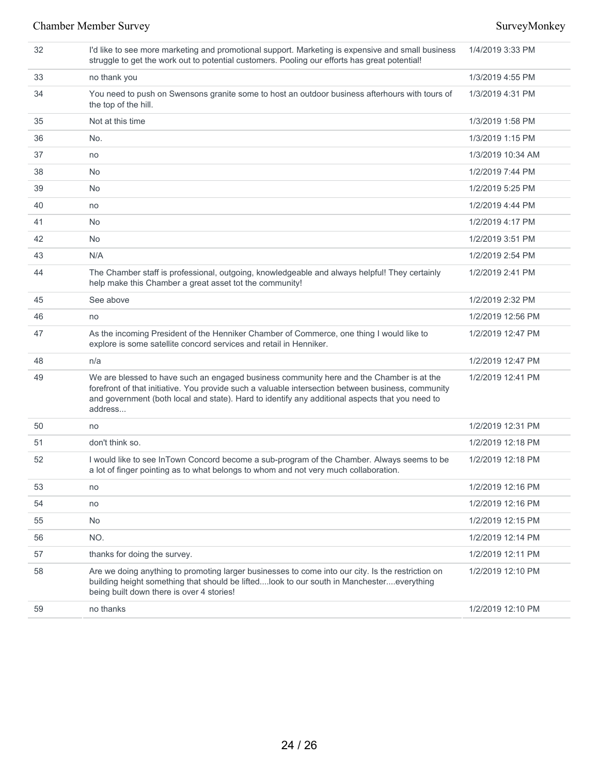### Chamber Member Survey Survey Survey Survey Survey Survey Survey Survey Survey Survey Survey Survey Survey Survey Survey Survey Survey Survey Survey Survey Survey Survey Survey Survey Survey Survey Survey Survey Survey Surv

| 32 | I'd like to see more marketing and promotional support. Marketing is expensive and small business<br>struggle to get the work out to potential customers. Pooling our efforts has great potential!                                                                                                           | 1/4/2019 3:33 PM  |
|----|--------------------------------------------------------------------------------------------------------------------------------------------------------------------------------------------------------------------------------------------------------------------------------------------------------------|-------------------|
| 33 | no thank you                                                                                                                                                                                                                                                                                                 | 1/3/2019 4:55 PM  |
| 34 | You need to push on Swensons granite some to host an outdoor business afterhours with tours of<br>the top of the hill.                                                                                                                                                                                       | 1/3/2019 4:31 PM  |
| 35 | Not at this time                                                                                                                                                                                                                                                                                             | 1/3/2019 1:58 PM  |
| 36 | No.                                                                                                                                                                                                                                                                                                          | 1/3/2019 1:15 PM  |
| 37 | no                                                                                                                                                                                                                                                                                                           | 1/3/2019 10:34 AM |
| 38 | No                                                                                                                                                                                                                                                                                                           | 1/2/2019 7:44 PM  |
| 39 | No                                                                                                                                                                                                                                                                                                           | 1/2/2019 5:25 PM  |
| 40 | no                                                                                                                                                                                                                                                                                                           | 1/2/2019 4:44 PM  |
| 41 | No                                                                                                                                                                                                                                                                                                           | 1/2/2019 4:17 PM  |
| 42 | <b>No</b>                                                                                                                                                                                                                                                                                                    | 1/2/2019 3:51 PM  |
| 43 | N/A                                                                                                                                                                                                                                                                                                          | 1/2/2019 2:54 PM  |
| 44 | The Chamber staff is professional, outgoing, knowledgeable and always helpful! They certainly<br>help make this Chamber a great asset tot the community!                                                                                                                                                     | 1/2/2019 2:41 PM  |
| 45 | See above                                                                                                                                                                                                                                                                                                    | 1/2/2019 2:32 PM  |
| 46 | no                                                                                                                                                                                                                                                                                                           | 1/2/2019 12:56 PM |
| 47 | As the incoming President of the Henniker Chamber of Commerce, one thing I would like to<br>explore is some satellite concord services and retail in Henniker.                                                                                                                                               | 1/2/2019 12:47 PM |
| 48 | n/a                                                                                                                                                                                                                                                                                                          | 1/2/2019 12:47 PM |
| 49 | We are blessed to have such an engaged business community here and the Chamber is at the<br>forefront of that initiative. You provide such a valuable intersection between business, community<br>and government (both local and state). Hard to identify any additional aspects that you need to<br>address | 1/2/2019 12:41 PM |
| 50 | no                                                                                                                                                                                                                                                                                                           | 1/2/2019 12:31 PM |
| 51 | don't think so.                                                                                                                                                                                                                                                                                              | 1/2/2019 12:18 PM |
| 52 | I would like to see InTown Concord become a sub-program of the Chamber. Always seems to be<br>a lot of finger pointing as to what belongs to whom and not very much collaboration.                                                                                                                           | 1/2/2019 12:18 PM |
| 53 | no                                                                                                                                                                                                                                                                                                           | 1/2/2019 12:16 PM |
| 54 | no                                                                                                                                                                                                                                                                                                           | 1/2/2019 12:16 PM |
| 55 | No                                                                                                                                                                                                                                                                                                           | 1/2/2019 12:15 PM |
| 56 | NO.                                                                                                                                                                                                                                                                                                          | 1/2/2019 12:14 PM |
| 57 | thanks for doing the survey.                                                                                                                                                                                                                                                                                 | 1/2/2019 12:11 PM |
| 58 | Are we doing anything to promoting larger businesses to come into our city. Is the restriction on<br>building height something that should be liftedlook to our south in Manchestereverything<br>being built down there is over 4 stories!                                                                   | 1/2/2019 12:10 PM |
| 59 | no thanks                                                                                                                                                                                                                                                                                                    | 1/2/2019 12:10 PM |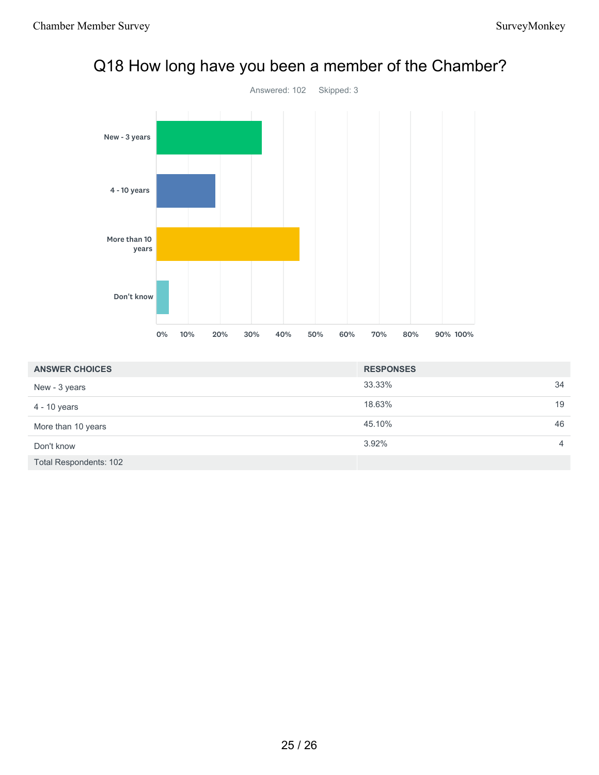

# Q18 How long have you been a member of the Chamber?

| <b>ANSWER CHOICES</b>  | <b>RESPONSES</b> |                |
|------------------------|------------------|----------------|
| New - 3 years          | 33.33%           | 34             |
| 4 - 10 years           | 18.63%           | 19             |
| More than 10 years     | 45.10%           | 46             |
| Don't know             | 3.92%            | $\overline{4}$ |
| Total Respondents: 102 |                  |                |